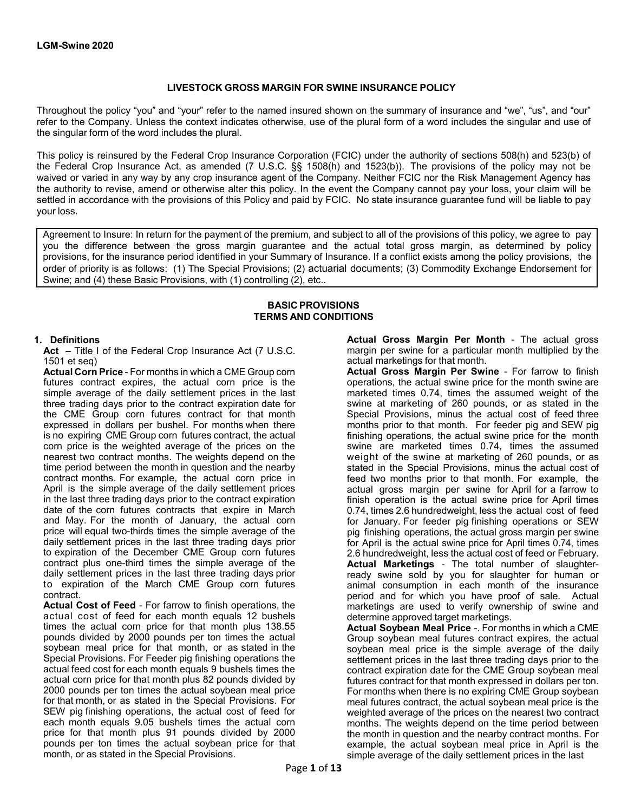### **LIVESTOCK GROSS MARGIN FOR SWINE INSURANCE POLICY**

Throughout the policy "you" and "your" refer to the named insured shown on the summary of insurance and "we", "us", and "our" refer to the Company. Unless the context indicates otherwise, use of the plural form of a word includes the singular and use of the singular form of the word includes the plural.

This policy is reinsured by the Federal Crop Insurance Corporation (FCIC) under the authority of sections 508(h) and 523(b) of the Federal Crop Insurance Act, as amended (7 U.S.C. §§ 1508(h) and 1523(b)). The provisions of the policy may not be waived or varied in any way by any crop insurance agent of the Company. Neither FCIC nor the Risk Management Agency has the authority to revise, amend or otherwise alter this policy. In the event the Company cannot pay your loss, your claim will be settled in accordance with the provisions of this Policy and paid by FCIC. No state insurance guarantee fund will be liable to pay your loss.

Agreement to Insure: In return for the payment of the premium, and subject to all of the provisions of this policy, we agree to pay you the difference between the gross margin guarantee and the actual total gross margin, as determined by policy provisions, for the insurance period identified in your Summary of Insurance. If a conflict exists among the policy provisions, the order of priority is as follows: (1) The Special Provisions; (2) actuarial documents; (3) Commodity Exchange Endorsement for Swine; and (4) these Basic Provisions, with (1) controlling (2), etc..

#### **BASIC PROVISIONS TERMS AND CONDITIONS**

### **1. Definitions**

**Act** – Title I of the Federal Crop Insurance Act (7 U.S.C. 1501 et seq)

**Actual Corn Price** - For months in which a CME Group corn futures contract expires, the actual corn price is the simple average of the daily settlement prices in the last three trading days prior to the contract expiration date for the CME Group corn futures contract for that month expressed in dollars per bushel. For months when there is no expiring CME Group corn futures contract, the actual corn price is the weighted average of the prices on the nearest two contract months. The weights depend on the time period between the month in question and the nearby contract months. For example, the actual corn price in April is the simple average of the daily settlement prices in the last three trading days prior to the contract expiration date of the corn futures contracts that expire in March and May. For the month of January, the actual corn price will equal two-thirds times the simple average of the daily settlement prices in the last three trading days prior to expiration of the December CME Group corn futures contract plus one-third times the simple average of the daily settlement prices in the last three trading days prior to expiration of the March CME Group corn futures contract.

**Actual Cost of Feed** - For farrow to finish operations, the actual cost of feed for each month equals 12 bushels times the actual corn price for that month plus 138.55 pounds divided by 2000 pounds per ton times the actual soybean meal price for that month, or as stated in the Special Provisions. For Feeder pig finishing operations the actual feed cost for each month equals 9 bushels times the actual corn price for that month plus 82 pounds divided by 2000 pounds per ton times the actual soybean meal price for that month, or as stated in the Special Provisions. For SEW pig finishing operations, the actual cost of feed for each month equals 9.05 bushels times the actual corn price for that month plus 91 pounds divided by 2000 pounds per ton times the actual soybean price for that month, or as stated in the Special Provisions.

**Actual Gross Margin Per Month** - The actual gross margin per swine for a particular month multiplied by the actual marketings for that month.

**Actual Gross Margin Per Swine** - For farrow to finish operations, the actual swine price for the month swine are marketed times 0.74, times the assumed weight of the swine at marketing of 260 pounds, or as stated in the Special Provisions, minus the actual cost of feed three months prior to that month. For feeder pig and SEW pig finishing operations, the actual swine price for the month swine are marketed times 0.74, times the assumed weight of the swine at marketing of 260 pounds, or as stated in the Special Provisions, minus the actual cost of feed two months prior to that month. For example, the actual gross margin per swine for April for a farrow to finish operation is the actual swine price for April times 0.74, times 2.6 hundredweight, less the actual cost of feed for January. For feeder pig finishing operations or SEW pig finishing operations, the actual gross margin per swine for April is the actual swine price for April times 0.74, times 2.6 hundredweight, less the actual cost of feed or February. **Actual Marketings** - The total number of slaughterready swine sold by you for slaughter for human or animal consumption in each month of the insurance period and for which you have proof of sale. Actual marketings are used to verify ownership of swine and determine approved target marketings. **Actual Soybean Meal Price** -. For months in which a CME

Group soybean meal futures contract expires, the actual soybean meal price is the simple average of the daily settlement prices in the last three trading days prior to the contract expiration date for the CME Group soybean meal futures contract for that month expressed in dollars per ton. For months when there is no expiring CME Group soybean meal futures contract, the actual soybean meal price is the weighted average of the prices on the nearest two contract months. The weights depend on the time period between the month in question and the nearby contract months. For example, the actual soybean meal price in April is the simple average of the daily settlement prices in the last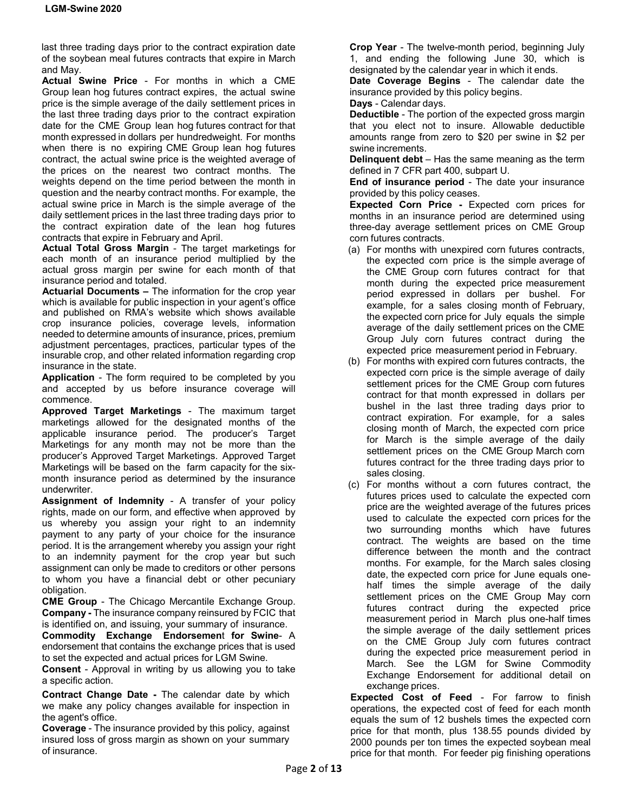last three trading days prior to the contract expiration date of the soybean meal futures contracts that expire in March and May.

**Actual Swine Price** - For months in which a CME Group lean hog futures contract expires, the actual swine price is the simple average of the daily settlement prices in the last three trading days prior to the contract expiration date for the CME Group lean hog futures contract for that month expressed in dollars per hundredweight. For months when there is no expiring CME Group lean hog futures contract, the actual swine price is the weighted average of the prices on the nearest two contract months. The weights depend on the time period between the month in question and the nearby contract months. For example, the actual swine price in March is the simple average of the daily settlement prices in the last three trading days prior to the contract expiration date of the lean hog futures contracts that expire in February and April.

**Actual Total Gross Margin** - The target marketings for each month of an insurance period multiplied by the actual gross margin per swine for each month of that insurance period and totaled.

**Actuarial Documents –** The information for the crop year which is available for public inspection in your agent's office and published on RMA's website which shows available crop insurance policies, coverage levels, information needed to determine amounts of insurance, prices, premium adjustment percentages, practices, particular types of the insurable crop, and other related information regarding crop insurance in the state.

**Application** - The form required to be completed by you and accepted by us before insurance coverage will commence.

**Approved Target Marketings** - The maximum target marketings allowed for the designated months of the applicable insurance period. The producer's Target Marketings for any month may not be more than the producer's Approved Target Marketings. Approved Target Marketings will be based on the farm capacity for the sixmonth insurance period as determined by the insurance underwriter.

**Assignment of Indemnity** - A transfer of your policy rights, made on our form, and effective when approved by us whereby you assign your right to an indemnity payment to any party of your choice for the insurance period. It is the arrangement whereby you assign your right to an indemnity payment for the crop year but such assignment can only be made to creditors or other persons to whom you have a financial debt or other pecuniary obligation.

**CME Group** - The Chicago Mercantile Exchange Group. **Company -** The insurance company reinsured by FCIC that is identified on, and issuing, your summary of insurance.

**Commodity Exchange Endorsemen**t **for Swine**- A endorsement that contains the exchange prices that is used to set the expected and actual prices for LGM Swine.

**Consent** - Approval in writing by us allowing you to take a specific action.

**Contract Change Date -** The calendar date by which we make any policy changes available for inspection in the agent's office.

**Coverage** - The insurance provided by this policy, against insured loss of gross margin as shown on your summary of insurance.

**Crop Year** - The twelve-month period, beginning July 1, and ending the following June 30, which is designated by the calendar year in which it ends.

**Date Coverage Begins** - The calendar date the insurance provided by this policy begins.

**Days** - Calendar days.

**Deductible** - The portion of the expected gross margin that you elect not to insure. Allowable deductible amounts range from zero to \$20 per swine in \$2 per swine increments.

**Delinquent debt** – Has the same meaning as the term defined in 7 CFR part 400, subpart U.

**End of insurance period** - The date your insurance provided by this policy ceases.

**Expected Corn Price -** Expected corn prices for months in an insurance period are determined using three-day average settlement prices on CME Group corn futures contracts.

- (a) For months with unexpired corn futures contracts, the expected corn price is the simple average of the CME Group corn futures contract for that month during the expected price measurement period expressed in dollars per bushel. For example, for a sales closing month of February, the expected corn price for July equals the simple average of the daily settlement prices on the CME Group July corn futures contract during the expected price measurement period in February.
- (b) For months with expired corn futures contracts, the expected corn price is the simple average of daily settlement prices for the CME Group corn futures contract for that month expressed in dollars per bushel in the last three trading days prior to contract expiration. For example, for a sales closing month of March, the expected corn price for March is the simple average of the daily settlement prices on the CME Group March corn futures contract for the three trading days prior to sales closing.
- (c) For months without a corn futures contract, the futures prices used to calculate the expected corn price are the weighted average of the futures prices used to calculate the expected corn prices for the two surrounding months which have futures contract. The weights are based on the time difference between the month and the contract months. For example, for the March sales closing date, the expected corn price for June equals onehalf times the simple average of the daily settlement prices on the CME Group May corn futures contract during the expected price measurement period in March plus one-half times the simple average of the daily settlement prices on the CME Group July corn futures contract during the expected price measurement period in March. See the LGM for Swine Commodity Exchange Endorsement for additional detail on exchange prices.

**Expected Cost of Feed** - For farrow to finish operations, the expected cost of feed for each month equals the sum of 12 bushels times the expected corn price for that month, plus 138.55 pounds divided by 2000 pounds per ton times the expected soybean meal price for that month. For feeder pig finishing operations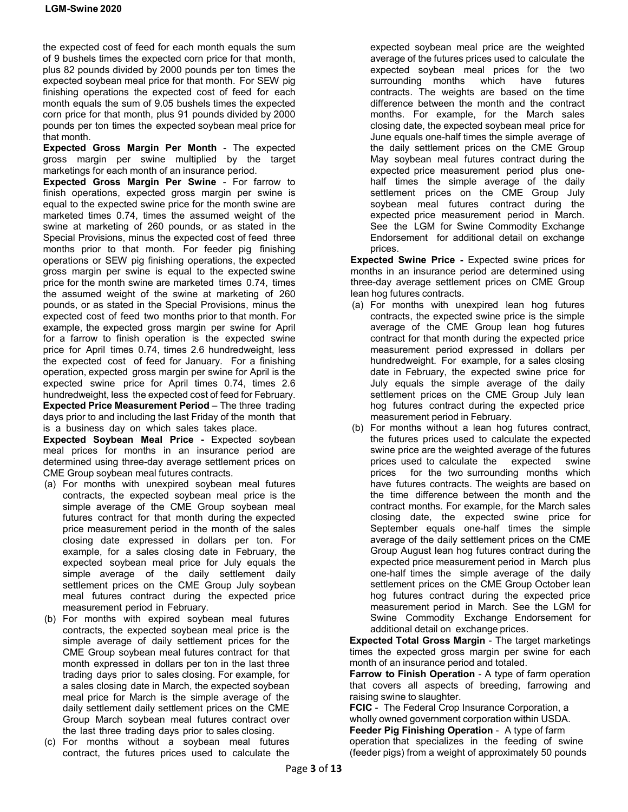the expected cost of feed for each month equals the sum of 9 bushels times the expected corn price for that month, plus 82 pounds divided by 2000 pounds per ton times the expected soybean meal price for that month. For SEW pig finishing operations the expected cost of feed for each month equals the sum of 9.05 bushels times the expected corn price for that month, plus 91 pounds divided by 2000 pounds per ton times the expected soybean meal price for that month.

**Expected Gross Margin Per Month** - The expected gross margin per swine multiplied by the target marketings for each month of an insurance period.

**Expected Gross Margin Per Swine** - For farrow to finish operations, expected gross margin per swine is equal to the expected swine price for the month swine are marketed times 0.74, times the assumed weight of the swine at marketing of 260 pounds, or as stated in the Special Provisions, minus the expected cost of feed three months prior to that month. For feeder pig finishing operations or SEW pig finishing operations, the expected gross margin per swine is equal to the expected swine price for the month swine are marketed times 0.74, times the assumed weight of the swine at marketing of 260 pounds, or as stated in the Special Provisions, minus the expected cost of feed two months prior to that month. For example, the expected gross margin per swine for April for a farrow to finish operation is the expected swine price for April times 0.74, times 2.6 hundredweight, less the expected cost of feed for January. For a finishing operation, expected gross margin per swine for April is the expected swine price for April times 0.74, times 2.6 hundredweight, less the expected cost of feed for February. **Expected Price Measurement Period** – The three trading days prior to and including the last Friday of the month that is a business day on which sales takes place.

**Expected Soybean Meal Price -** Expected soybean meal prices for months in an insurance period are determined using three-day average settlement prices on CME Group soybean meal futures contracts.

- (a) For months with unexpired soybean meal futures contracts, the expected soybean meal price is the simple average of the CME Group soybean meal futures contract for that month during the expected price measurement period in the month of the sales closing date expressed in dollars per ton. For example, for a sales closing date in February, the expected soybean meal price for July equals the simple average of the daily settlement daily settlement prices on the CME Group July soybean meal futures contract during the expected price measurement period in February.
- (b) For months with expired soybean meal futures contracts, the expected soybean meal price is the simple average of daily settlement prices for the CME Group soybean meal futures contract for that month expressed in dollars per ton in the last three trading days prior to sales closing. For example, for a sales closing date in March, the expected soybean meal price for March is the simple average of the daily settlement daily settlement prices on the CME Group March soybean meal futures contract over the last three trading days prior to sales closing.
- (c) For months without a soybean meal futures contract, the futures prices used to calculate the

expected soybean meal price are the weighted average of the futures prices used to calculate the expected soybean meal prices for the two surrounding months which have futures contracts. The weights are based on the time difference between the month and the contract months. For example, for the March sales closing date, the expected soybean meal price for June equals one-half times the simple average of the daily settlement prices on the CME Group May soybean meal futures contract during the expected price measurement period plus onehalf times the simple average of the daily settlement prices on the CME Group July soybean meal futures contract during the expected price measurement period in March. See the LGM for Swine Commodity Exchange Endorsement for additional detail on exchange prices.

**Expected Swine Price -** Expected swine prices for months in an insurance period are determined using three-day average settlement prices on CME Group lean hog futures contracts.

- (a) For months with unexpired lean hog futures contracts, the expected swine price is the simple average of the CME Group lean hog futures contract for that month during the expected price measurement period expressed in dollars per hundredweight. For example, for a sales closing date in February, the expected swine price for July equals the simple average of the daily settlement prices on the CME Group July lean hog futures contract during the expected price measurement period in February.
- (b) For months without a lean hog futures contract, the futures prices used to calculate the expected swine price are the weighted average of the futures prices used to calculate the expected swine prices for the two surrounding months which have futures contracts. The weights are based on the time difference between the month and the contract months. For example, for the March sales closing date, the expected swine price for September equals one-half times the simple average of the daily settlement prices on the CME Group August lean hog futures contract during the expected price measurement period in March plus one-half times the simple average of the daily settlement prices on the CME Group October lean hog futures contract during the expected price measurement period in March. See the LGM for Swine Commodity Exchange Endorsement for additional detail on exchange prices.

**Expected Total Gross Margin** - The target marketings times the expected gross margin per swine for each month of an insurance period and totaled.

**Farrow to Finish Operation** - A type of farm operation that covers all aspects of breeding, farrowing and raising swine to slaughter.

**FCIC** - The Federal Crop Insurance Corporation, a wholly owned government corporation within USDA. **Feeder Pig Finishing Operation** - A type of farm operation that specializes in the feeding of swine (feeder pigs) from a weight of approximately 50 pounds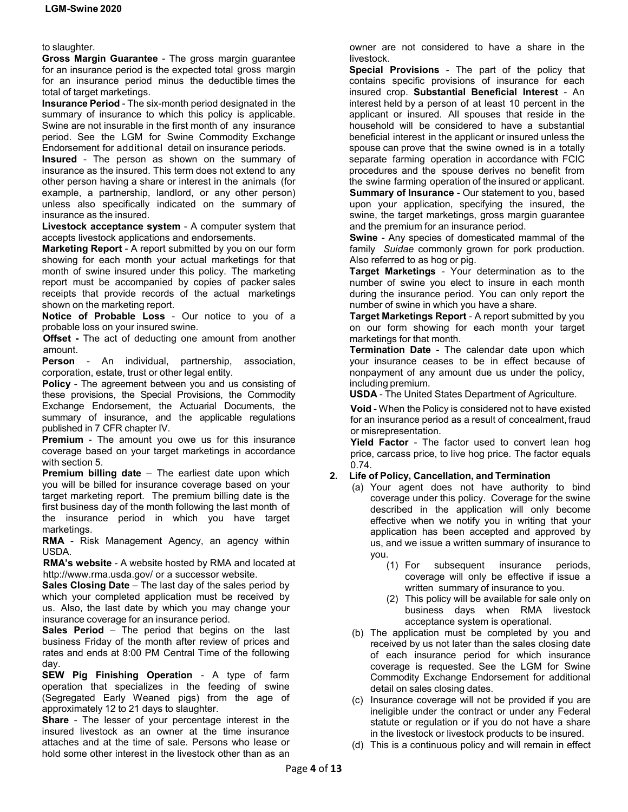#### to slaughter.

**Gross Margin Guarantee** - The gross margin guarantee for an insurance period is the expected total gross margin for an insurance period minus the deductible times the total of target marketings.

**Insurance Period** - The six-month period designated in the summary of insurance to which this policy is applicable. Swine are not insurable in the first month of any insurance period. See the LGM for Swine Commodity Exchange Endorsement for additional detail on insurance periods.

**Insured** - The person as shown on the summary of insurance as the insured. This term does not extend to any other person having a share or interest in the animals (for example, a partnership, landlord, or any other person) unless also specifically indicated on the summary of insurance as the insured.

**Livestock acceptance system** - A computer system that accepts livestock applications and endorsements.

**Marketing Report** - A report submitted by you on our form showing for each month your actual marketings for that month of swine insured under this policy. The marketing report must be accompanied by copies of packer sales receipts that provide records of the actual marketings shown on the marketing report.

**Notice of Probable Loss** - Our notice to you of a probable loss on your insured swine.

**Offset -** The act of deducting one amount from another amount.

**Person** - An individual, partnership, association, corporation, estate, trust or other legal entity.

**Policy** - The agreement between you and us consisting of these provisions, the Special Provisions, the Commodity Exchange Endorsement, the Actuarial Documents, the summary of insurance, and the applicable regulations published in 7 CFR chapter IV.

**Premium** - The amount you owe us for this insurance coverage based on your target marketings in accordance with section 5.

**Premium billing date** – The earliest date upon which you will be billed for insurance coverage based on your target marketing report. The premium billing date is the first business day of the month following the last month of the insurance period in which you have target marketings.

**RMA** - Risk Management Agency, an agency within USDA.

**RMA's website** - A website hosted by RMA and located at http://www.rma.usda.gov/ or a successor website.

**Sales Closing Date** – The last day of the sales period by which your completed application must be received by us. Also, the last date by which you may change your insurance coverage for an insurance period.

**Sales Period** – The period that begins on the last business Friday of the month after review of prices and rates and ends at 8:00 PM Central Time of the following day.

**SEW Pig Finishing Operation** - A type of farm operation that specializes in the feeding of swine (Segregated Early Weaned pigs) from the age of approximately 12 to 21 days to slaughter.

**Share** - The lesser of your percentage interest in the insured livestock as an owner at the time insurance attaches and at the time of sale. Persons who lease or hold some other interest in the livestock other than as an

owner are not considered to have a share in the livestock.

**Special Provisions** - The part of the policy that contains specific provisions of insurance for each insured crop. **Substantial Beneficial Interest** - An interest held by a person of at least 10 percent in the applicant or insured. All spouses that reside in the household will be considered to have a substantial beneficial interest in the applicant or insured unless the spouse can prove that the swine owned is in a totally separate farming operation in accordance with FCIC procedures and the spouse derives no benefit from the swine farming operation of the insured or applicant. **Summary of Insurance** - Our statement to you, based upon your application, specifying the insured, the swine, the target marketings, gross margin guarantee and the premium for an insurance period.

**Swine** - Any species of domesticated mammal of the family *Suidae* commonly grown for pork production. Also referred to as hog or pig.

**Target Marketings** - Your determination as to the number of swine you elect to insure in each month during the insurance period. You can only report the number of swine in which you have a share.

**Target Marketings Report** - A report submitted by you on our form showing for each month your target marketings for that month.

**Termination Date** - The calendar date upon which your insurance ceases to be in effect because of nonpayment of any amount due us under the policy, including premium.

**USDA** - The United States Department of Agriculture.

**Void** - When the Policy is considered not to have existed for an insurance period as a result of concealment, fraud or misrepresentation.

**Yield Factor** - The factor used to convert lean hog price, carcass price, to live hog price. The factor equals 0.74.

# **2. Life of Policy, Cancellation, and Termination**

- (a) Your agent does not have authority to bind coverage under this policy. Coverage for the swine described in the application will only become effective when we notify you in writing that your application has been accepted and approved by us, and we issue a written summary of insurance to you.
	- (1) For subsequent insurance periods, coverage will only be effective if issue a written summary of insurance to you.
	- (2) This policy will be available for sale only on business days when RMA livestock acceptance system is operational.
- (b) The application must be completed by you and received by us not later than the sales closing date of each insurance period for which insurance coverage is requested. See the LGM for Swine Commodity Exchange Endorsement for additional detail on sales closing dates.
- (c) Insurance coverage will not be provided if you are ineligible under the contract or under any Federal statute or regulation or if you do not have a share in the livestock or livestock products to be insured.
- (d) This is a continuous policy and will remain in effect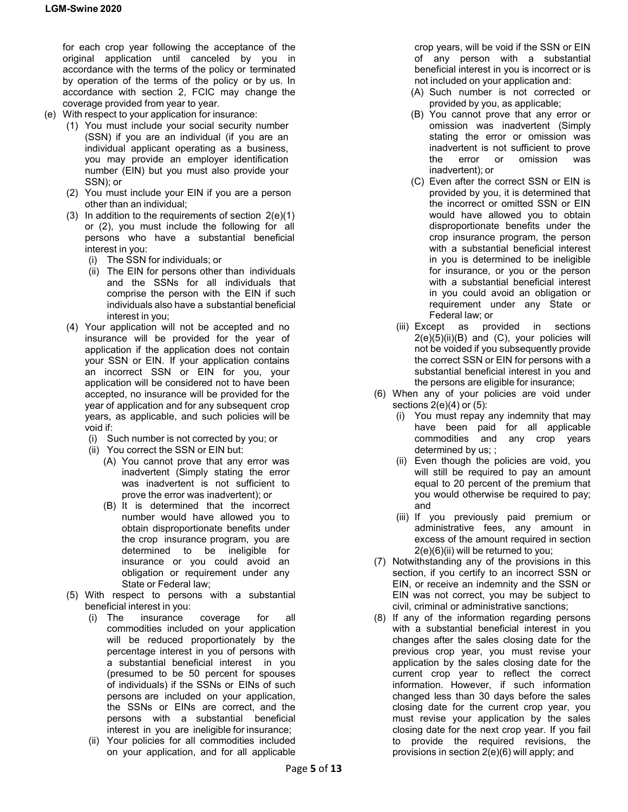for each crop year following the acceptance of the original application until canceled by you in accordance with the terms of the policy or terminated by operation of the terms of the policy or by us. In accordance with section 2, FCIC may change the coverage provided from year to year.

- (e) With respect to your application for insurance:
	- (1) You must include your social security number (SSN) if you are an individual (if you are an individual applicant operating as a business, you may provide an employer identification number (EIN) but you must also provide your SSN); or
	- (2) You must include your EIN if you are a person other than an individual;
	- (3) In addition to the requirements of section 2(e)(1) or (2), you must include the following for all persons who have a substantial beneficial interest in you:
		- (i) The SSN for individuals; or
		- (ii) The EIN for persons other than individuals and the SSNs for all individuals that comprise the person with the EIN if such individuals also have a substantial beneficial interest in you;
	- (4) Your application will not be accepted and no insurance will be provided for the year of application if the application does not contain your SSN or EIN. If your application contains an incorrect SSN or EIN for you, your application will be considered not to have been accepted, no insurance will be provided for the year of application and for any subsequent crop years, as applicable, and such policies will be void if:
		- (i) Such number is not corrected by you; or
		- (ii) You correct the SSN or EIN but:
			- (A) You cannot prove that any error was inadvertent (Simply stating the error was inadvertent is not sufficient to prove the error was inadvertent); or
			- (B) It is determined that the incorrect number would have allowed you to obtain disproportionate benefits under the crop insurance program, you are determined to be ineligible for insurance or you could avoid an obligation or requirement under any State or Federal law;
	- (5) With respect to persons with a substantial beneficial interest in you:
		- (i) The insurance coverage for all commodities included on your application will be reduced proportionately by the percentage interest in you of persons with a substantial beneficial interest in you (presumed to be 50 percent for spouses of individuals) if the SSNs or EINs of such persons are included on your application, the SSNs or EINs are correct, and the persons with a substantial beneficial interest in you are ineligible for insurance;
		- (ii) Your policies for all commodities included on your application, and for all applicable

crop years, will be void if the SSN or EIN of any person with a substantial beneficial interest in you is incorrect or is not included on your application and:

- (A) Such number is not corrected or provided by you, as applicable;
- (B) You cannot prove that any error or omission was inadvertent (Simply stating the error or omission was inadvertent is not sufficient to prove the error or omission was inadvertent); or
- (C) Even after the correct SSN or EIN is provided by you, it is determined that the incorrect or omitted SSN or EIN would have allowed you to obtain disproportionate benefits under the crop insurance program, the person with a substantial beneficial interest in you is determined to be ineligible for insurance, or you or the person with a substantial beneficial interest in you could avoid an obligation or requirement under any State or Federal law; or
- (iii) Except as provided in sections  $2(e)(5)(ii)(B)$  and  $(C)$ , your policies will not be voided if you subsequently provide the correct SSN or EIN for persons with a substantial beneficial interest in you and the persons are eligible for insurance;
- (6) When any of your policies are void under sections  $2(e)(4)$  or  $(5)$ :
	- (i) You must repay any indemnity that may have been paid for all applicable commodities and any crop years determined by us; ;
	- (ii) Even though the policies are void, you will still be required to pay an amount equal to 20 percent of the premium that you would otherwise be required to pay; and
	- (iii) If you previously paid premium or administrative fees, any amount in excess of the amount required in section 2(e)(6)(ii) will be returned to you;
- (7) Notwithstanding any of the provisions in this section, if you certify to an incorrect SSN or EIN, or receive an indemnity and the SSN or EIN was not correct, you may be subject to civil, criminal or administrative sanctions;
- (8) If any of the information regarding persons with a substantial beneficial interest in you changes after the sales closing date for the previous crop year, you must revise your application by the sales closing date for the current crop year to reflect the correct information. However, if such information changed less than 30 days before the sales closing date for the current crop year, you must revise your application by the sales closing date for the next crop year. If you fail to provide the required revisions, the provisions in section 2(e)(6) will apply; and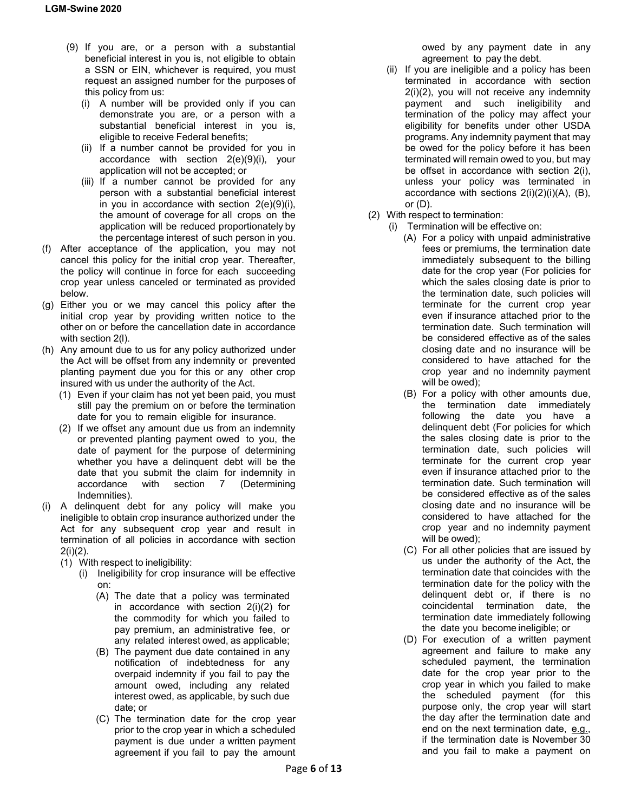- (9) If you are, or a person with a substantial beneficial interest in you is, not eligible to obtain a SSN or EIN, whichever is required, you must request an assigned number for the purposes of this policy from us:
	- (i) A number will be provided only if you can demonstrate you are, or a person with a substantial beneficial interest in you is, eligible to receive Federal benefits;
	- (ii) If a number cannot be provided for you in accordance with section 2(e)(9)(i), your application will not be accepted; or
	- (iii) If a number cannot be provided for any person with a substantial beneficial interest in you in accordance with section  $2(e)(9)(i)$ , the amount of coverage for all crops on the application will be reduced proportionately by the percentage interest of such person in you.
- (f) After acceptance of the application, you may not cancel this policy for the initial crop year. Thereafter, the policy will continue in force for each succeeding crop year unless canceled or terminated as provided below.
- (g) Either you or we may cancel this policy after the initial crop year by providing written notice to the other on or before the cancellation date in accordance with section 2(l).
- (h) Any amount due to us for any policy authorized under the Act will be offset from any indemnity or prevented planting payment due you for this or any other crop insured with us under the authority of the Act.
	- (1) Even if your claim has not yet been paid, you must still pay the premium on or before the termination date for you to remain eligible for insurance.
	- (2) If we offset any amount due us from an indemnity or prevented planting payment owed to you, the date of payment for the purpose of determining whether you have a delinquent debt will be the date that you submit the claim for indemnity in accordance with section 7 (Determining Indemnities).
- (i) A delinquent debt for any policy will make you ineligible to obtain crop insurance authorized under the Act for any subsequent crop year and result in termination of all policies in accordance with section 2(i)(2).
	- (1) With respect to ineligibility:
		- (i) Ineligibility for crop insurance will be effective on:
			- (A) The date that a policy was terminated in accordance with section 2(i)(2) for the commodity for which you failed to pay premium, an administrative fee, or any related interest owed, as applicable;
			- (B) The payment due date contained in any notification of indebtedness for any overpaid indemnity if you fail to pay the amount owed, including any related interest owed, as applicable, by such due date; or
			- (C) The termination date for the crop year prior to the crop year in which a scheduled payment is due under a written payment agreement if you fail to pay the amount

owed by any payment date in any agreement to pay the debt.

- (ii) If you are ineligible and a policy has been terminated in accordance with section 2(i)(2), you will not receive any indemnity payment and such ineligibility and termination of the policy may affect your eligibility for benefits under other USDA programs. Any indemnity payment that may be owed for the policy before it has been terminated will remain owed to you, but may be offset in accordance with section 2(i), unless your policy was terminated in accordance with sections 2(i)(2)(i)(A), (B), or (D).
- (2) With respect to termination:
	- (i) Termination will be effective on:
		- (A) For a policy with unpaid administrative fees or premiums, the termination date immediately subsequent to the billing date for the crop year (For policies for which the sales closing date is prior to the termination date, such policies will terminate for the current crop year even if insurance attached prior to the termination date. Such termination will be considered effective as of the sales closing date and no insurance will be considered to have attached for the crop year and no indemnity payment will be owed);
		- (B) For a policy with other amounts due, the termination date immediately following the date you have a delinquent debt (For policies for which the sales closing date is prior to the termination date, such policies will terminate for the current crop year even if insurance attached prior to the termination date. Such termination will be considered effective as of the sales closing date and no insurance will be considered to have attached for the crop year and no indemnity payment will be owed);
		- (C) For all other policies that are issued by us under the authority of the Act, the termination date that coincides with the termination date for the policy with the delinquent debt or, if there is no coincidental termination date, the termination date immediately following the date you become ineligible; or
		- (D) For execution of a written payment agreement and failure to make any scheduled payment, the termination date for the crop year prior to the crop year in which you failed to make the scheduled payment (for this purpose only, the crop year will start the day after the termination date and end on the next termination date, e.g., if the termination date is November 30 and you fail to make a payment on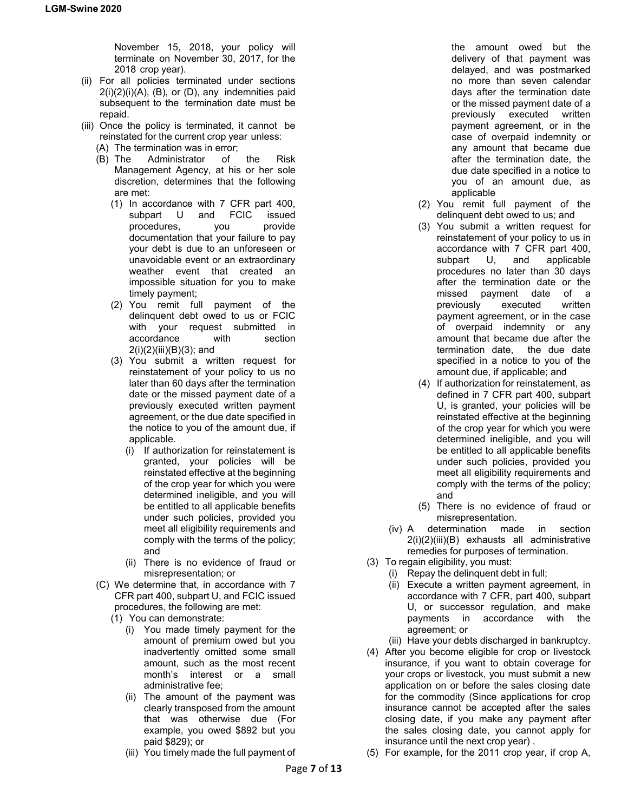November 15, 2018, your policy will terminate on November 30, 2017, for the 2018 crop year).

- (ii) For all policies terminated under sections 2(i)(2)(i)(A), (B), or (D), any indemnities paid subsequent to the termination date must be repaid.
- (iii) Once the policy is terminated, it cannot be reinstated for the current crop year unless:
	- (A) The termination was in error;
	- (B) The Administrator of the Risk Management Agency, at his or her sole discretion, determines that the following are met:
		- (1) In accordance with 7 CFR part 400, subpart U and FCIC issued procedures, you provide documentation that your failure to pay your debt is due to an unforeseen or unavoidable event or an extraordinary weather event that created an impossible situation for you to make timely payment;
		- (2) You remit full payment of the delinquent debt owed to us or FCIC with your request submitted in accordance with section 2(i)(2)(iii)(B)(3); and
		- (3) You submit a written request for reinstatement of your policy to us no later than 60 days after the termination date or the missed payment date of a previously executed written payment agreement, or the due date specified in the notice to you of the amount due, if applicable.
			- (i) If authorization for reinstatement is granted, your policies will be reinstated effective at the beginning of the crop year for which you were determined ineligible, and you will be entitled to all applicable benefits under such policies, provided you meet all eligibility requirements and comply with the terms of the policy; and
			- (ii) There is no evidence of fraud or misrepresentation; or
	- (C) We determine that, in accordance with 7 CFR part 400, subpart U, and FCIC issued procedures, the following are met:
		- (1) You can demonstrate:
			- (i) You made timely payment for the amount of premium owed but you inadvertently omitted some small amount, such as the most recent month's interest or a small administrative fee;
			- (ii) The amount of the payment was clearly transposed from the amount that was otherwise due (For example, you owed \$892 but you paid \$829); or
			- (iii) You timely made the full payment of

the amount owed but the delivery of that payment was delayed, and was postmarked no more than seven calendar days after the termination date or the missed payment date of a previously executed written payment agreement, or in the case of overpaid indemnity or any amount that became due after the termination date, the due date specified in a notice to you of an amount due, as applicable

- (2) You remit full payment of the delinquent debt owed to us; and
- (3) You submit a written request for reinstatement of your policy to us in accordance with 7 CFR part 400, subpart U, and applicable procedures no later than 30 days after the termination date or the missed payment date of a previously executed written payment agreement, or in the case of overpaid indemnity or any amount that became due after the termination date, the due date specified in a notice to you of the amount due, if applicable; and
- (4) If authorization for reinstatement, as defined in 7 CFR part 400, subpart U, is granted, your policies will be reinstated effective at the beginning of the crop year for which you were determined ineligible, and you will be entitled to all applicable benefits under such policies, provided you meet all eligibility requirements and comply with the terms of the policy; and
- (5) There is no evidence of fraud or misrepresentation.
- (iv) A determination made in section 2(i)(2)(iii)(B) exhausts all administrative remedies for purposes of termination.
- (3) To regain eligibility, you must:
	- (i) Repay the delinquent debt in full;
	- (ii) Execute a written payment agreement, in accordance with 7 CFR, part 400, subpart U, or successor regulation, and make payments in accordance with the agreement; or
	- (iii) Have your debts discharged in bankruptcy.
- (4) After you become eligible for crop or livestock insurance, if you want to obtain coverage for your crops or livestock, you must submit a new application on or before the sales closing date for the commodity (Since applications for crop insurance cannot be accepted after the sales closing date, if you make any payment after the sales closing date, you cannot apply for insurance until the next crop year) .
- (5) For example, for the 2011 crop year, if crop A,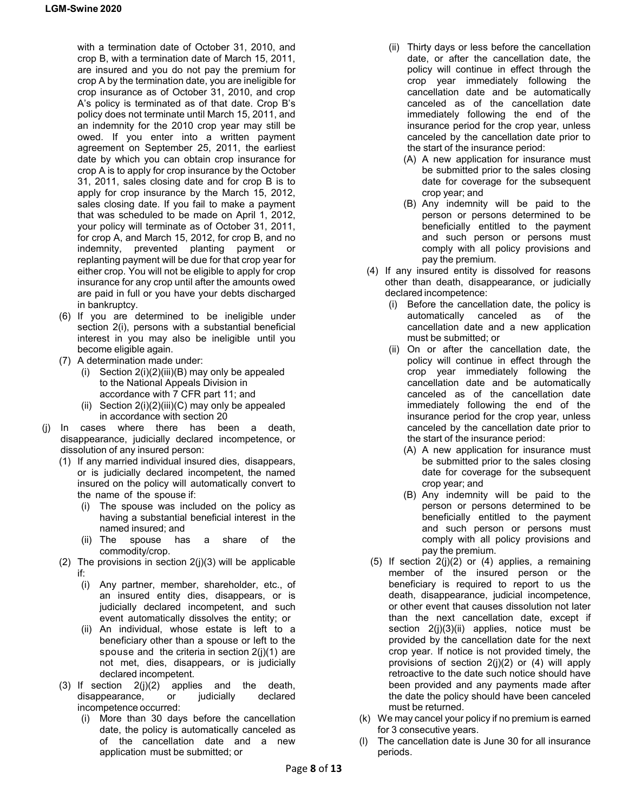with a termination date of October 31, 2010, and crop B, with a termination date of March 15, 2011, are insured and you do not pay the premium for crop A by the termination date, you are ineligible for crop insurance as of October 31, 2010, and crop A's policy is terminated as of that date. Crop B's policy does not terminate until March 15, 2011, and an indemnity for the 2010 crop year may still be owed. If you enter into a written payment agreement on September 25, 2011, the earliest date by which you can obtain crop insurance for crop A is to apply for crop insurance by the October 31, 2011, sales closing date and for crop B is to apply for crop insurance by the March 15, 2012, sales closing date. If you fail to make a payment that was scheduled to be made on April 1, 2012, your policy will terminate as of October 31, 2011, for crop A, and March 15, 2012, for crop B, and no indemnity, prevented planting payment or replanting payment will be due for that crop year for either crop. You will not be eligible to apply for crop insurance for any crop until after the amounts owed are paid in full or you have your debts discharged in bankruptcy.

- (6) If you are determined to be ineligible under section 2(i), persons with a substantial beneficial interest in you may also be ineligible until you become eligible again.
- (7) A determination made under:
	- (i) Section 2(i)(2)(iii)(B) may only be appealed to the National Appeals Division in accordance with 7 CFR part 11; and
	- (ii) Section  $2(i)(2)(iii)(C)$  may only be appealed in accordance with section 20
- (j) In cases where there has been a death, disappearance, judicially declared incompetence, or dissolution of any insured person:
	- (1) If any married individual insured dies, disappears, or is judicially declared incompetent, the named insured on the policy will automatically convert to the name of the spouse if:
		- (i) The spouse was included on the policy as having a substantial beneficial interest in the named insured; and
		- (ii) The spouse has a share of the commodity/crop.
	- (2) The provisions in section  $2(j)(3)$  will be applicable if:
		- (i) Any partner, member, shareholder, etc., of an insured entity dies, disappears, or is judicially declared incompetent, and such event automatically dissolves the entity; or
		- (ii) An individual, whose estate is left to a beneficiary other than a spouse or left to the spouse and the criteria in section 2(j)(1) are not met, dies, disappears, or is judicially declared incompetent.
	- (3) If section  $2(j)(2)$  applies and the death,<br>disappearance, or judicially declared disappearance, or judicially incompetence occurred:
		- (i) More than 30 days before the cancellation date, the policy is automatically canceled as of the cancellation date and a new application must be submitted; or
- (ii) Thirty days or less before the cancellation date, or after the cancellation date, the policy will continue in effect through the crop year immediately following the cancellation date and be automatically canceled as of the cancellation date immediately following the end of the insurance period for the crop year, unless canceled by the cancellation date prior to the start of the insurance period:
	- (A) A new application for insurance must be submitted prior to the sales closing date for coverage for the subsequent crop year; and
	- (B) Any indemnity will be paid to the person or persons determined to be beneficially entitled to the payment and such person or persons must comply with all policy provisions and pay the premium.
- (4) If any insured entity is dissolved for reasons other than death, disappearance, or judicially declared incompetence:
	- (i) Before the cancellation date, the policy is automatically canceled as of the cancellation date and a new application must be submitted; or
	- (ii) On or after the cancellation date, the policy will continue in effect through the crop year immediately following the cancellation date and be automatically canceled as of the cancellation date immediately following the end of the insurance period for the crop year, unless canceled by the cancellation date prior to the start of the insurance period:
		- (A) A new application for insurance must be submitted prior to the sales closing date for coverage for the subsequent crop year; and
		- (B) Any indemnity will be paid to the person or persons determined to be beneficially entitled to the payment and such person or persons must comply with all policy provisions and pay the premium.
- $(5)$  If section  $2(j)(2)$  or  $(4)$  applies, a remaining member of the insured person or the beneficiary is required to report to us the death, disappearance, judicial incompetence, or other event that causes dissolution not later than the next cancellation date, except if section 2(j)(3)(ii) applies, notice must be provided by the cancellation date for the next crop year. If notice is not provided timely, the provisions of section 2(j)(2) or (4) will apply retroactive to the date such notice should have been provided and any payments made after the date the policy should have been canceled must be returned.
- (k) We may cancel your policy if no premium is earned for 3 consecutive years.
- (l) The cancellation date is June 30 for all insurance periods.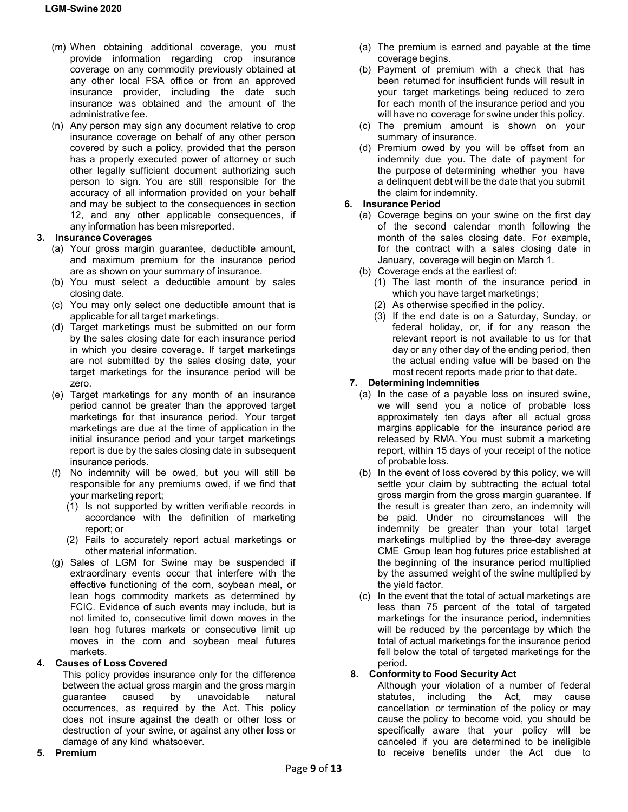- (m) When obtaining additional coverage, you must provide information regarding crop insurance coverage on any commodity previously obtained at any other local FSA office or from an approved insurance provider, including the date such insurance was obtained and the amount of the administrative fee.
- (n) Any person may sign any document relative to crop insurance coverage on behalf of any other person covered by such a policy, provided that the person has a properly executed power of attorney or such other legally sufficient document authorizing such person to sign. You are still responsible for the accuracy of all information provided on your behalf and may be subject to the consequences in section 12, and any other applicable consequences, if any information has been misreported.

## **3. Insurance Coverages**

- (a) Your gross margin guarantee, deductible amount, and maximum premium for the insurance period are as shown on your summary of insurance.
- (b) You must select a deductible amount by sales closing date.
- (c) You may only select one deductible amount that is applicable for all target marketings.
- (d) Target marketings must be submitted on our form by the sales closing date for each insurance period in which you desire coverage. If target marketings are not submitted by the sales closing date, your target marketings for the insurance period will be zero.
- (e) Target marketings for any month of an insurance period cannot be greater than the approved target marketings for that insurance period. Your target marketings are due at the time of application in the initial insurance period and your target marketings report is due by the sales closing date in subsequent insurance periods.
- (f) No indemnity will be owed, but you will still be responsible for any premiums owed, if we find that your marketing report;
	- (1) Is not supported by written verifiable records in accordance with the definition of marketing report; or
	- (2) Fails to accurately report actual marketings or other material information.
- (g) Sales of LGM for Swine may be suspended if extraordinary events occur that interfere with the effective functioning of the corn, soybean meal, or lean hogs commodity markets as determined by FCIC. Evidence of such events may include, but is not limited to, consecutive limit down moves in the lean hog futures markets or consecutive limit up moves in the corn and soybean meal futures markets.

### **4. Causes of Loss Covered**

This policy provides insurance only for the difference between the actual gross margin and the gross margin guarantee caused by unavoidable natural occurrences, as required by the Act. This policy does not insure against the death or other loss or destruction of your swine, or against any other loss or damage of any kind whatsoever.

**5. Premium**

- (a) The premium is earned and payable at the time coverage begins.
- (b) Payment of premium with a check that has been returned for insufficient funds will result in your target marketings being reduced to zero for each month of the insurance period and you will have no coverage for swine under this policy.
- (c) The premium amount is shown on your summary of insurance.
- (d) Premium owed by you will be offset from an indemnity due you. The date of payment for the purpose of determining whether you have a delinquent debt will be the date that you submit the claim for indemnity.

### **6. Insurance Period**

- (a) Coverage begins on your swine on the first day of the second calendar month following the month of the sales closing date. For example, for the contract with a sales closing date in January, coverage will begin on March 1.
- (b) Coverage ends at the earliest of:
	- (1) The last month of the insurance period in which you have target marketings;
	- (2) As otherwise specified in the policy.
	- (3) If the end date is on a Saturday, Sunday, or federal holiday, or, if for any reason the relevant report is not available to us for that day or any other day of the ending period, then the actual ending value will be based on the most recent reports made prior to that date.

### **7. DeterminingIndemnities**

- (a) In the case of a payable loss on insured swine, we will send you a notice of probable loss approximately ten days after all actual gross margins applicable for the insurance period are released by RMA. You must submit a marketing report, within 15 days of your receipt of the notice of probable loss.
- (b) In the event of loss covered by this policy, we will settle your claim by subtracting the actual total gross margin from the gross margin guarantee. If the result is greater than zero, an indemnity will be paid. Under no circumstances will the indemnity be greater than your total target marketings multiplied by the three-day average CME Group lean hog futures price established at the beginning of the insurance period multiplied by the assumed weight of the swine multiplied by the yield factor.
- (c) In the event that the total of actual marketings are less than 75 percent of the total of targeted marketings for the insurance period, indemnities will be reduced by the percentage by which the total of actual marketings for the insurance period fell below the total of targeted marketings for the period.

# **8. Conformity to Food Security Act**

Although your violation of a number of federal statutes, including the Act, may cause cancellation or termination of the policy or may cause the policy to become void, you should be specifically aware that your policy will be canceled if you are determined to be ineligible to receive benefits under the Act due to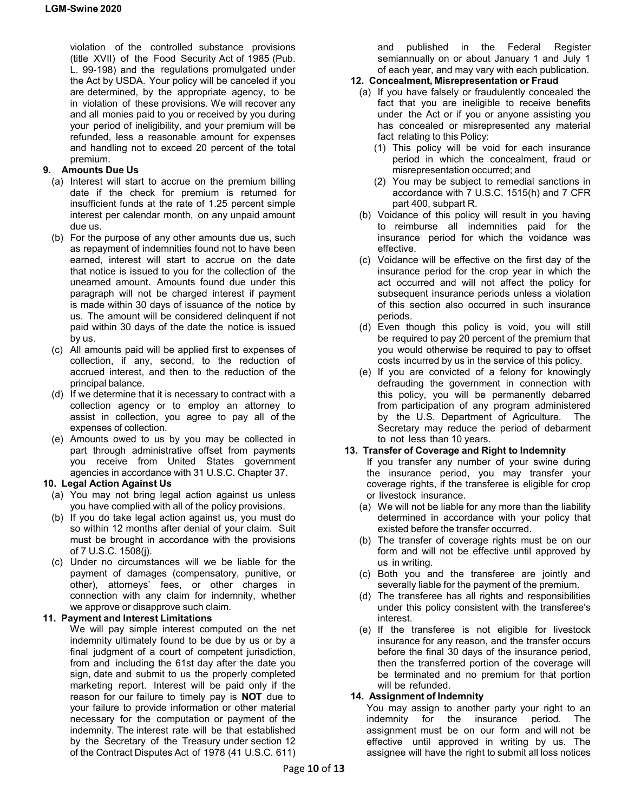violation of the controlled substance provisions (title XVII) of the Food Security Act of 1985 (Pub. L. 99-198) and the regulations promulgated under the Act by USDA. Your policy will be canceled if you are determined, by the appropriate agency, to be in violation of these provisions. We will recover any and all monies paid to you or received by you during your period of ineligibility, and your premium will be refunded, less a reasonable amount for expenses and handling not to exceed 20 percent of the total premium.

# **9. Amounts Due Us**

- (a) Interest will start to accrue on the premium billing date if the check for premium is returned for insufficient funds at the rate of 1.25 percent simple interest per calendar month, on any unpaid amount due us.
- (b) For the purpose of any other amounts due us, such as repayment of indemnities found not to have been earned, interest will start to accrue on the date that notice is issued to you for the collection of the unearned amount. Amounts found due under this paragraph will not be charged interest if payment is made within 30 days of issuance of the notice by us. The amount will be considered delinquent if not paid within 30 days of the date the notice is issued by us.
- (c) All amounts paid will be applied first to expenses of collection, if any, second, to the reduction of accrued interest, and then to the reduction of the principal balance.
- (d) If we determine that it is necessary to contract with a collection agency or to employ an attorney to assist in collection, you agree to pay all of the expenses of collection.
- (e) Amounts owed to us by you may be collected in part through administrative offset from payments you receive from United States government agencies in accordance with 31 U.S.C. Chapter 37.

# **10. Legal Action Against Us**

- (a) You may not bring legal action against us unless you have complied with all of the policy provisions.
- (b) If you do take legal action against us, you must do so within 12 months after denial of your claim. Suit must be brought in accordance with the provisions of 7 U.S.C. 1508(j).
- (c) Under no circumstances will we be liable for the payment of damages (compensatory, punitive, or other), attorneys' fees, or other charges in connection with any claim for indemnity, whether we approve or disapprove such claim.

# **11. Payment and Interest Limitations**

We will pay simple interest computed on the net indemnity ultimately found to be due by us or by a final judgment of a court of competent jurisdiction, from and including the 61st day after the date you sign, date and submit to us the properly completed marketing report. Interest will be paid only if the reason for our failure to timely pay is **NOT** due to your failure to provide information or other material necessary for the computation or payment of the indemnity. The interest rate will be that established by the Secretary of the Treasury under section 12 of the Contract Disputes Act of 1978 (41 U.S.C. 611) and published in the Federal Register semiannually on or about January 1 and July 1 of each year, and may vary with each publication.

## **12. Concealment, Misrepresentation or Fraud**

- (a) If you have falsely or fraudulently concealed the fact that you are ineligible to receive benefits under the Act or if you or anyone assisting you has concealed or misrepresented any material fact relating to this Policy:
	- (1) This policy will be void for each insurance period in which the concealment, fraud or misrepresentation occurred; and
	- (2) You may be subject to remedial sanctions in accordance with 7 U.S.C. 1515(h) and 7 CFR part 400, subpart R.
- (b) Voidance of this policy will result in you having to reimburse all indemnities paid for the insurance period for which the voidance was effective.
- (c) Voidance will be effective on the first day of the insurance period for the crop year in which the act occurred and will not affect the policy for subsequent insurance periods unless a violation of this section also occurred in such insurance periods.
- (d) Even though this policy is void, you will still be required to pay 20 percent of the premium that you would otherwise be required to pay to offset costs incurred by us in the service of this policy.
- (e) If you are convicted of a felony for knowingly defrauding the government in connection with this policy, you will be permanently debarred from participation of any program administered by the U.S. Department of Agriculture. The Secretary may reduce the period of debarment to not less than 10 years.

### **13. Transfer of Coverage and Right to Indemnity**

- If you transfer any number of your swine during the insurance period, you may transfer your coverage rights, if the transferee is eligible for crop or livestock insurance.
- (a) We will not be liable for any more than the liability determined in accordance with your policy that existed before the transfer occurred.
- (b) The transfer of coverage rights must be on our form and will not be effective until approved by us in writing.
- (c) Both you and the transferee are jointly and severally liable for the payment of the premium.
- (d) The transferee has all rights and responsibilities under this policy consistent with the transferee's interest.
- (e) If the transferee is not eligible for livestock insurance for any reason, and the transfer occurs before the final 30 days of the insurance period, then the transferred portion of the coverage will be terminated and no premium for that portion will be refunded.

### **14. Assignment of Indemnity**

You may assign to another party your right to an indemnity for the insurance period. The assignment must be on our form and will not be effective until approved in writing by us. The assignee will have the right to submit all loss notices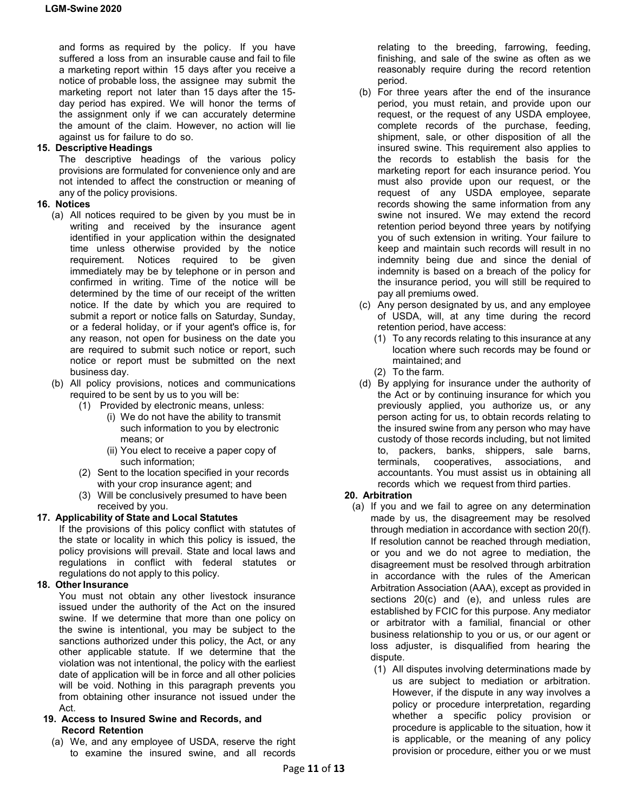and forms as required by the policy. If you have suffered a loss from an insurable cause and fail to file a marketing report within 15 days after you receive a notice of probable loss, the assignee may submit the marketing report not later than 15 days after the 15 day period has expired. We will honor the terms of the assignment only if we can accurately determine the amount of the claim. However, no action will lie against us for failure to do so.

## **15. Descriptive Headings**

The descriptive headings of the various policy provisions are formulated for convenience only and are not intended to affect the construction or meaning of any of the policy provisions.

## **16. Notices**

- (a) All notices required to be given by you must be in writing and received by the insurance agent identified in your application within the designated time unless otherwise provided by the notice requirement. Notices required to be given immediately may be by telephone or in person and confirmed in writing. Time of the notice will be determined by the time of our receipt of the written notice. If the date by which you are required to submit a report or notice falls on Saturday, Sunday, or a federal holiday, or if your agent's office is, for any reason, not open for business on the date you are required to submit such notice or report, such notice or report must be submitted on the next business day.
- (b) All policy provisions, notices and communications required to be sent by us to you will be:
	- (1) Provided by electronic means, unless:
		- (i) We do not have the ability to transmit such information to you by electronic means; or
		- (ii) You elect to receive a paper copy of such information;
	- (2) Sent to the location specified in your records with your crop insurance agent; and
	- (3) Will be conclusively presumed to have been received by you.

# **17. Applicability of State and Local Statutes**

If the provisions of this policy conflict with statutes of the state or locality in which this policy is issued, the policy provisions will prevail. State and local laws and regulations in conflict with federal statutes or regulations do not apply to this policy.

# **18. OtherInsurance**

You must not obtain any other livestock insurance issued under the authority of the Act on the insured swine. If we determine that more than one policy on the swine is intentional, you may be subject to the sanctions authorized under this policy, the Act, or any other applicable statute. If we determine that the violation was not intentional, the policy with the earliest date of application will be in force and all other policies will be void. Nothing in this paragraph prevents you from obtaining other insurance not issued under the Act.

#### **19. Access to Insured Swine and Records, and Record Retention**

(a) We, and any employee of USDA, reserve the right to examine the insured swine, and all records

relating to the breeding, farrowing, feeding, finishing, and sale of the swine as often as we reasonably require during the record retention period.

- (b) For three years after the end of the insurance period, you must retain, and provide upon our request, or the request of any USDA employee, complete records of the purchase, feeding, shipment, sale, or other disposition of all the insured swine. This requirement also applies to the records to establish the basis for the marketing report for each insurance period. You must also provide upon our request, or the request of any USDA employee, separate records showing the same information from any swine not insured. We may extend the record retention period beyond three years by notifying you of such extension in writing. Your failure to keep and maintain such records will result in no indemnity being due and since the denial of indemnity is based on a breach of the policy for the insurance period, you will still be required to pay all premiums owed.
- (c) Any person designated by us, and any employee of USDA, will, at any time during the record retention period, have access:
	- (1) To any records relating to this insurance at any location where such records may be found or maintained; and
	- (2) To the farm.
- (d) By applying for insurance under the authority of the Act or by continuing insurance for which you previously applied, you authorize us, or any person acting for us, to obtain records relating to the insured swine from any person who may have custody of those records including, but not limited to, packers, banks, shippers, sale barns, terminals, cooperatives, associations, and accountants. You must assist us in obtaining all records which we request from third parties.

# **20. Arbitration**

- (a) If you and we fail to agree on any determination made by us, the disagreement may be resolved through mediation in accordance with section 20(f). If resolution cannot be reached through mediation, or you and we do not agree to mediation, the disagreement must be resolved through arbitration in accordance with the rules of the American Arbitration Association (AAA), except as provided in sections 20(c) and (e), and unless rules are established by FCIC for this purpose. Any mediator or arbitrator with a familial, financial or other business relationship to you or us, or our agent or loss adjuster, is disqualified from hearing the dispute.
	- (1) All disputes involving determinations made by us are subject to mediation or arbitration. However, if the dispute in any way involves a policy or procedure interpretation, regarding whether a specific policy provision or procedure is applicable to the situation, how it is applicable, or the meaning of any policy provision or procedure, either you or we must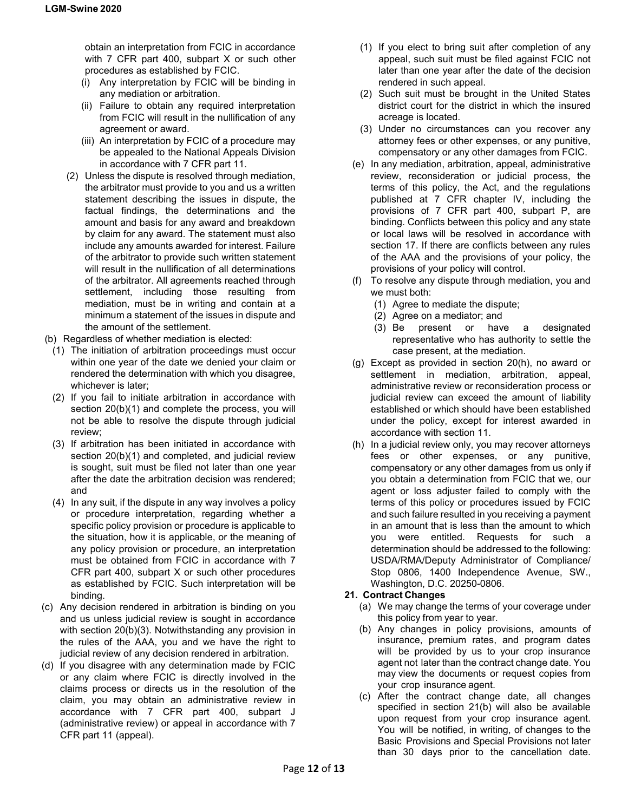obtain an interpretation from FCIC in accordance with 7 CFR part 400, subpart X or such other procedures as established by FCIC.

- (i) Any interpretation by FCIC will be binding in any mediation or arbitration.
- (ii) Failure to obtain any required interpretation from FCIC will result in the nullification of any agreement or award.
- (iii) An interpretation by FCIC of a procedure may be appealed to the National Appeals Division in accordance with 7 CFR part 11.
- (2) Unless the dispute is resolved through mediation, the arbitrator must provide to you and us a written statement describing the issues in dispute, the factual findings, the determinations and the amount and basis for any award and breakdown by claim for any award. The statement must also include any amounts awarded for interest. Failure of the arbitrator to provide such written statement will result in the nullification of all determinations of the arbitrator. All agreements reached through settlement, including those resulting from mediation, must be in writing and contain at a minimum a statement of the issues in dispute and the amount of the settlement.
- (b) Regardless of whether mediation is elected:
- (1) The initiation of arbitration proceedings must occur within one year of the date we denied your claim or rendered the determination with which you disagree, whichever is later;
- (2) If you fail to initiate arbitration in accordance with section 20(b)(1) and complete the process, you will not be able to resolve the dispute through judicial review;
- (3) If arbitration has been initiated in accordance with section 20(b)(1) and completed, and judicial review is sought, suit must be filed not later than one year after the date the arbitration decision was rendered; and
- (4) In any suit, if the dispute in any way involves a policy or procedure interpretation, regarding whether a specific policy provision or procedure is applicable to the situation, how it is applicable, or the meaning of any policy provision or procedure, an interpretation must be obtained from FCIC in accordance with 7 CFR part 400, subpart X or such other procedures as established by FCIC. Such interpretation will be binding.
- (c) Any decision rendered in arbitration is binding on you and us unless judicial review is sought in accordance with section 20(b)(3). Notwithstanding any provision in the rules of the AAA, you and we have the right to judicial review of any decision rendered in arbitration.
- (d) If you disagree with any determination made by FCIC or any claim where FCIC is directly involved in the claims process or directs us in the resolution of the claim, you may obtain an administrative review in accordance with 7 CFR part 400, subpart J (administrative review) or appeal in accordance with 7 CFR part 11 (appeal).
- (1) If you elect to bring suit after completion of any appeal, such suit must be filed against FCIC not later than one year after the date of the decision rendered in such appeal.
- (2) Such suit must be brought in the United States district court for the district in which the insured acreage is located.
- (3) Under no circumstances can you recover any attorney fees or other expenses, or any punitive, compensatory or any other damages from FCIC.
- (e) In any mediation, arbitration, appeal, administrative review, reconsideration or judicial process, the terms of this policy, the Act, and the regulations published at 7 CFR chapter IV, including the provisions of 7 CFR part 400, subpart P, are binding. Conflicts between this policy and any state or local laws will be resolved in accordance with section 17. If there are conflicts between any rules of the AAA and the provisions of your policy, the provisions of your policy will control.
- (f) To resolve any dispute through mediation, you and we must both:
	- (1) Agree to mediate the dispute;
	- (2) Agree on a mediator; and
	- (3) Be present or have a designated representative who has authority to settle the case present, at the mediation.
- (g) Except as provided in section 20(h), no award or settlement in mediation, arbitration, appeal, administrative review or reconsideration process or judicial review can exceed the amount of liability established or which should have been established under the policy, except for interest awarded in accordance with section 11.
- (h) In a judicial review only, you may recover attorneys fees or other expenses, or any punitive, compensatory or any other damages from us only if you obtain a determination from FCIC that we, our agent or loss adjuster failed to comply with the terms of this policy or procedures issued by FCIC and such failure resulted in you receiving a payment in an amount that is less than the amount to which you were entitled. Requests for such a determination should be addressed to the following: USDA/RMA/Deputy Administrator of Compliance/ Stop 0806, 1400 Independence Avenue, SW., Washington, D.C. 20250-0806.

# **21. Contract Changes**

- (a) We may change the terms of your coverage under this policy from year to year.
- (b) Any changes in policy provisions, amounts of insurance, premium rates, and program dates will be provided by us to your crop insurance agent not later than the contract change date. You may view the documents or request copies from your crop insurance agent.
- (c) After the contract change date, all changes specified in section 21(b) will also be available upon request from your crop insurance agent. You will be notified, in writing, of changes to the Basic Provisions and Special Provisions not later than 30 days prior to the cancellation date.